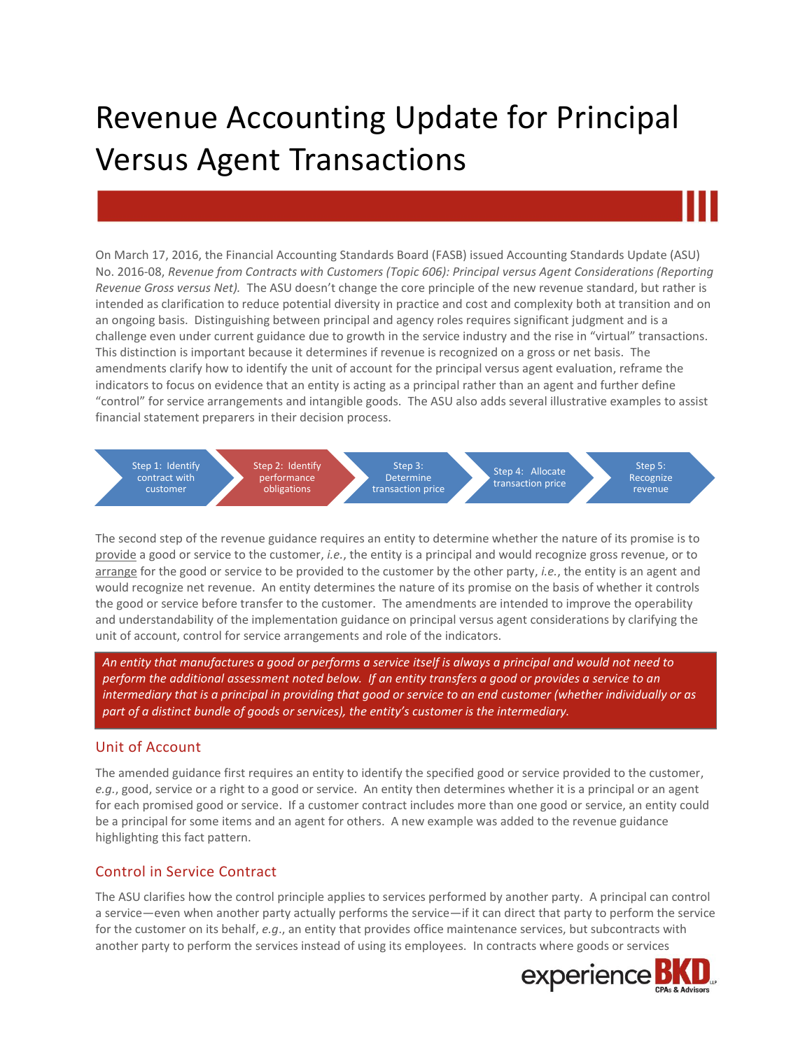# Revenue Accounting Update for Principal Versus Agent Transactions

On March 17, 2016, the Financial Accounting Standards Board (FASB) issued Accounting Standards Update (ASU) No. 2016-08, *Revenue from Contracts with Customers (Topic 606): Principal versus Agent Considerations (Reporting Revenue Gross versus Net).* The ASU doesn't change the core principle of the new revenue standard, but rather is intended as clarification to reduce potential diversity in practice and cost and complexity both at transition and on an ongoing basis. Distinguishing between principal and agency roles requires significant judgment and is a challenge even under current guidance due to growth in the service industry and the rise in "virtual" transactions. This distinction is important because it determines if revenue is recognized on a gross or net basis. The amendments clarify how to identify the unit of account for the principal versus agent evaluation, reframe the indicators to focus on evidence that an entity is acting as a principal rather than an agent and further define "control" for service arrangements and intangible goods. The ASU also adds several illustrative examples to assist financial statement preparers in their decision process.



The second step of the revenue guidance requires an entity to determine whether the nature of its promise is to provide a good or service to the customer, *i.e.*, the entity is a principal and would recognize gross revenue, or to arrange for the good or service to be provided to the customer by the other party, *i.e.*, the entity is an agent and would recognize net revenue. An entity determines the nature of its promise on the basis of whether it controls the good or service before transfer to the customer. The amendments are intended to improve the operability and understandability of the implementation guidance on principal versus agent considerations by clarifying the unit of account, control for service arrangements and role of the indicators.

*An entity that manufactures a good or performs a service itself is always a principal and would not need to perform the additional assessment noted below. If an entity transfers a good or provides a service to an intermediary that is a principal in providing that good or service to an end customer (whether individually or as part of a distinct bundle of goods or services), the entity's customer is the intermediary.*

#### Unit of Account

The amended guidance first requires an entity to identify the specified good or service provided to the customer, *e.g.*, good, service or a right to a good or service. An entity then determines whether it is a principal or an agent for each promised good or service. If a customer contract includes more than one good or service, an entity could be a principal for some items and an agent for others. A new example was added to the revenue guidance highlighting this fact pattern.

#### Control in Service Contract

The ASU clarifies how the control principle applies to services performed by another party. A principal can control a service—even when another party actually performs the service—if it can direct that party to perform the service for the customer on its behalf, *e.g*., an entity that provides office maintenance services, but subcontracts with another party to perform the services instead of using its employees. In contracts where goods or services